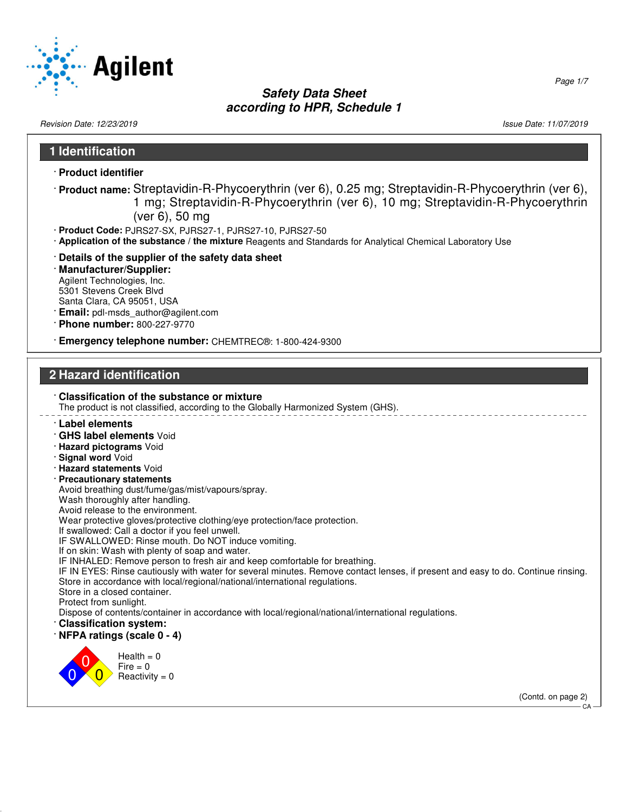

Revision Date: 12/23/2019 Issue Date: 11/07/2019

Page 1/7

# **1 Identification** · **Product identifier** · **Product name:** Streptavidin-R-Phycoerythrin (ver 6), 0.25 mg; Streptavidin-R-Phycoerythrin (ver 6), 1 mg; Streptavidin-R-Phycoerythrin (ver 6), 10 mg; Streptavidin-R-Phycoerythrin (ver 6), 50 mg · **Product Code:** PJRS27-SX, PJRS27-1, PJRS27-10, PJRS27-50 · **Application of the substance / the mixture** Reagents and Standards for Analytical Chemical Laboratory Use · **Details of the supplier of the safety data sheet** · **Manufacturer/Supplier:** Agilent Technologies, Inc. 5301 Stevens Creek Blvd Santa Clara, CA 95051, USA · **Email:** pdl-msds\_author@agilent.com · **Phone number:** 800-227-9770 · **Emergency telephone number:** CHEMTREC®: 1-800-424-9300 **2 Hazard identification** · **Classification of the substance or mixture** The product is not classified, according to the Globally Harmonized System (GHS).

- · **Label elements**
- · **GHS label elements** Void
- · **Hazard pictograms** Void
- · **Signal word** Void
- · **Hazard statements** Void
- · **Precautionary statements**
- Avoid breathing dust/fume/gas/mist/vapours/spray.
- Wash thoroughly after handling.
- Avoid release to the environment.
- Wear protective gloves/protective clothing/eye protection/face protection.
- If swallowed: Call a doctor if you feel unwell.
- IF SWALLOWED: Rinse mouth. Do NOT induce vomiting.
- If on skin: Wash with plenty of soap and water.
- IF INHALED: Remove person to fresh air and keep comfortable for breathing.
- IF IN EYES: Rinse cautiously with water for several minutes. Remove contact lenses, if present and easy to do. Continue rinsing. Store in accordance with local/regional/national/international regulations.
- Store in a closed container.
- Protect from sunlight.
- Dispose of contents/container in accordance with local/regional/national/international regulations.
- · **Classification system:**
- · **NFPA ratings (scale 0 4)**



 $Health = 0$  $Fire = 0$  $Reactivity = 0$ 

(Contd. on page 2)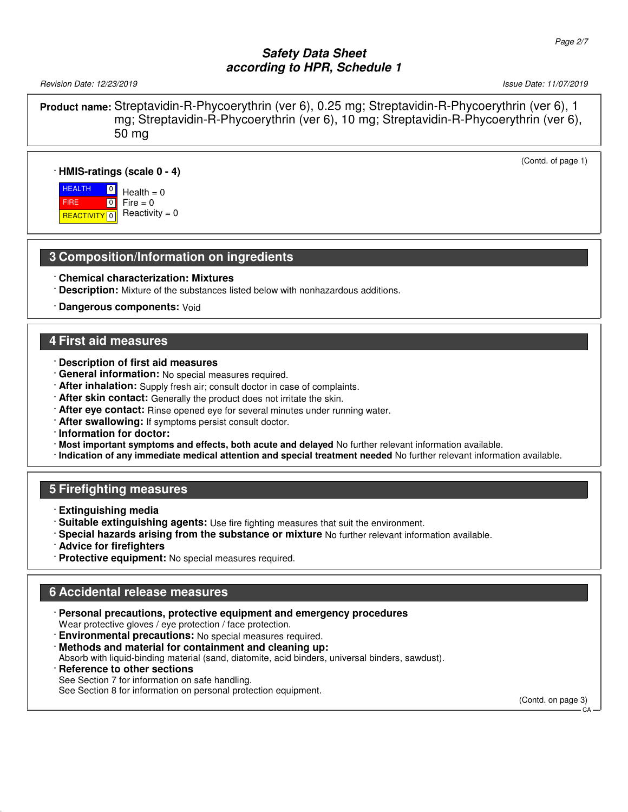Revision Date: 12/23/2019 **Issue Date: 11/07/2019** Issue Date: 11/07/2019

FIRE

(Contd. of page 1)

**Product name:** Streptavidin-R-Phycoerythrin (ver 6), 0.25 mg; Streptavidin-R-Phycoerythrin (ver 6), 1 mg; Streptavidin-R-Phycoerythrin (ver 6), 10 mg; Streptavidin-R-Phycoerythrin (ver 6), 50 mg

#### · **HMIS-ratings (scale 0 - 4)**

**HEALTH** <mark>| REACTIVITY</mark> | 0  $\boxed{0}$  $\boxed{0}$  $Health = 0$  $Fire = 0$  $Reactivity = 0$ 

#### **3 Composition/Information on ingredients**

- · **Chemical characterization: Mixtures**
- · **Description:** Mixture of the substances listed below with nonhazardous additions.
- · **Dangerous components:** Void

#### **4 First aid measures**

- · **Description of first aid measures**
- · **General information:** No special measures required.
- · **After inhalation:** Supply fresh air; consult doctor in case of complaints.
- · **After skin contact:** Generally the product does not irritate the skin.
- · **After eye contact:** Rinse opened eye for several minutes under running water.
- · **After swallowing:** If symptoms persist consult doctor.
- · **Information for doctor:**
- · **Most important symptoms and effects, both acute and delayed** No further relevant information available.
- · **Indication of any immediate medical attention and special treatment needed** No further relevant information available.

#### **5 Firefighting measures**

- · **Extinguishing media**
- · **Suitable extinguishing agents:** Use fire fighting measures that suit the environment.
- · **Special hazards arising from the substance or mixture** No further relevant information available.
- · **Advice for firefighters**
- · **Protective equipment:** No special measures required.

### **6 Accidental release measures**

- · **Personal precautions, protective equipment and emergency procedures** Wear protective gloves / eye protection / face protection.
- · **Environmental precautions:** No special measures required.
- · **Methods and material for containment and cleaning up:**

Absorb with liquid-binding material (sand, diatomite, acid binders, universal binders, sawdust).

· **Reference to other sections**

See Section 7 for information on safe handling.

See Section 8 for information on personal protection equipment.

(Contd. on page 3)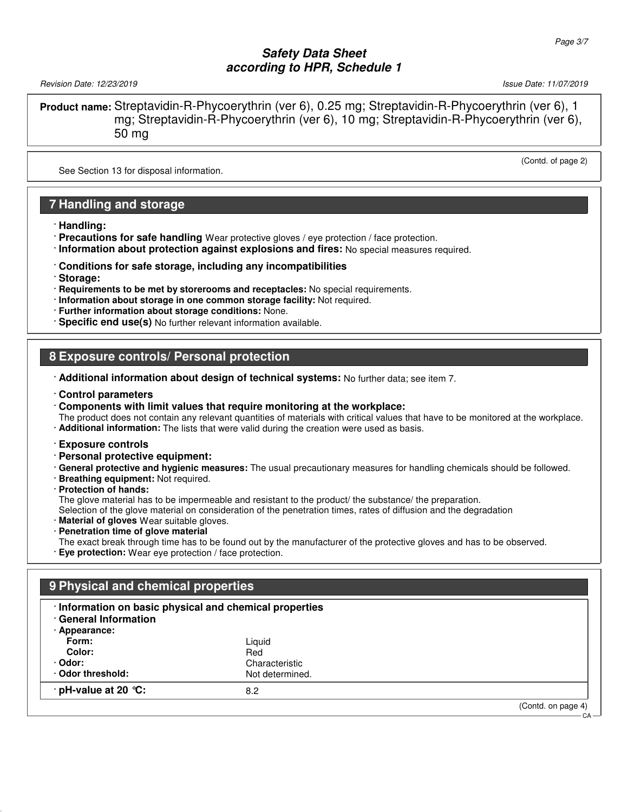Revision Date: 12/23/2019 **Issue Date: 11/07/2019** Issue Date: 11/07/2019

(Contd. of page 2)

**Product name:** Streptavidin-R-Phycoerythrin (ver 6), 0.25 mg; Streptavidin-R-Phycoerythrin (ver 6), 1 mg; Streptavidin-R-Phycoerythrin (ver 6), 10 mg; Streptavidin-R-Phycoerythrin (ver 6), 50 mg

See Section 13 for disposal information.

### **7 Handling and storage**

- · **Handling:**
- · **Precautions for safe handling** Wear protective gloves / eye protection / face protection.
- · **Information about protection against explosions and fires:** No special measures required.
- · **Conditions for safe storage, including any incompatibilities**
- · **Storage:**
- · **Requirements to be met by storerooms and receptacles:** No special requirements.
- · **Information about storage in one common storage facility:** Not required.
- · **Further information about storage conditions:** None.
- · **Specific end use(s)** No further relevant information available.

## **8 Exposure controls/ Personal protection**

- · **Additional information about design of technical systems:** No further data; see item 7.
- · **Control parameters**
- · **Components with limit values that require monitoring at the workplace:**
- The product does not contain any relevant quantities of materials with critical values that have to be monitored at the workplace.
- · **Additional information:** The lists that were valid during the creation were used as basis.
- · **Exposure controls**
- · **Personal protective equipment:**
- · **General protective and hygienic measures:** The usual precautionary measures for handling chemicals should be followed.
- · **Breathing equipment:** Not required.
- · **Protection of hands:**
- The glove material has to be impermeable and resistant to the product/ the substance/ the preparation.

Selection of the glove material on consideration of the penetration times, rates of diffusion and the degradation

- · **Material of gloves** Wear suitable gloves.
- · **Penetration time of glove material**
- The exact break through time has to be found out by the manufacturer of the protective gloves and has to be observed. · **Eye protection:** Wear eye protection / face protection.

## **9 Physical and chemical properties**

#### · **Information on basic physical and chemical properties**

· **General Information**

| · Appearance: |  |
|---------------|--|
|               |  |

| $\cdot$ pH-value at 20 $\degree$ C: | 8.2                               |  |
|-------------------------------------|-----------------------------------|--|
| · Odor:<br>Odor threshold:          | Characteristic<br>Not determined. |  |
| Color:                              | Red                               |  |
| Form:                               | Liquid                            |  |

(Contd. on page 4)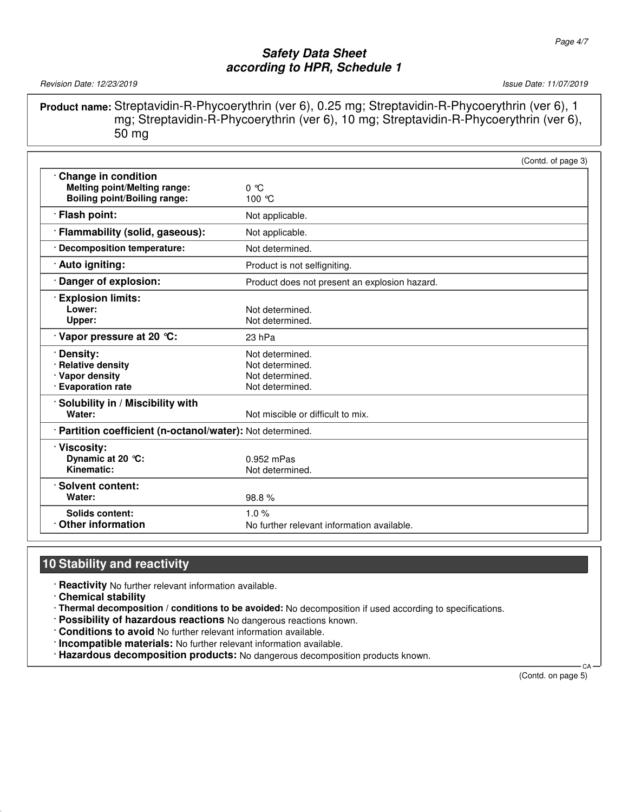Revision Date: 12/23/2019 **Issue Date: 11/07/2019** Issue Date: 11/07/2019

**Product name:** Streptavidin-R-Phycoerythrin (ver 6), 0.25 mg; Streptavidin-R-Phycoerythrin (ver 6), 1 mg; Streptavidin-R-Phycoerythrin (ver 6), 10 mg; Streptavidin-R-Phycoerythrin (ver 6), 50 mg

|                                                                                                   |                                                                          | (Contd. of page 3) |
|---------------------------------------------------------------------------------------------------|--------------------------------------------------------------------------|--------------------|
| Change in condition<br><b>Melting point/Melting range:</b><br><b>Boiling point/Boiling range:</b> | $0^{\circ}$ C<br>100 °C                                                  |                    |
| · Flash point:                                                                                    | Not applicable.                                                          |                    |
| · Flammability (solid, gaseous):                                                                  | Not applicable.                                                          |                    |
| · Decomposition temperature:                                                                      | Not determined.                                                          |                    |
| Auto igniting:                                                                                    | Product is not selfigniting.                                             |                    |
| Danger of explosion:                                                                              | Product does not present an explosion hazard.                            |                    |
| <b>Explosion limits:</b><br>Lower:<br>Upper:                                                      | Not determined.<br>Not determined.                                       |                    |
| $\cdot$ Vapor pressure at 20 °C:                                                                  | 23 hPa                                                                   |                    |
| · Density:<br>· Relative density<br>· Vapor density<br>· Evaporation rate                         | Not determined.<br>Not determined.<br>Not determined.<br>Not determined. |                    |
| Solubility in / Miscibility with<br>Water:                                                        | Not miscible or difficult to mix.                                        |                    |
| · Partition coefficient (n-octanol/water): Not determined.                                        |                                                                          |                    |
| · Viscosity:<br>Dynamic at 20 °C:<br>Kinematic:                                                   | $0.952$ mPas<br>Not determined.                                          |                    |
| Solvent content:<br>Water:                                                                        | 98.8%                                                                    |                    |
| Solids content:<br>$\cdot$ Other information                                                      | 1.0%<br>No further relevant information available.                       |                    |

## **10 Stability and reactivity**

· **Reactivity** No further relevant information available.

· **Chemical stability**

· **Thermal decomposition / conditions to be avoided:** No decomposition if used according to specifications.

- · **Possibility of hazardous reactions** No dangerous reactions known.
- · **Conditions to avoid** No further relevant information available.
- · **Incompatible materials:** No further relevant information available.
- · **Hazardous decomposition products:** No dangerous decomposition products known.

(Contd. on page 5)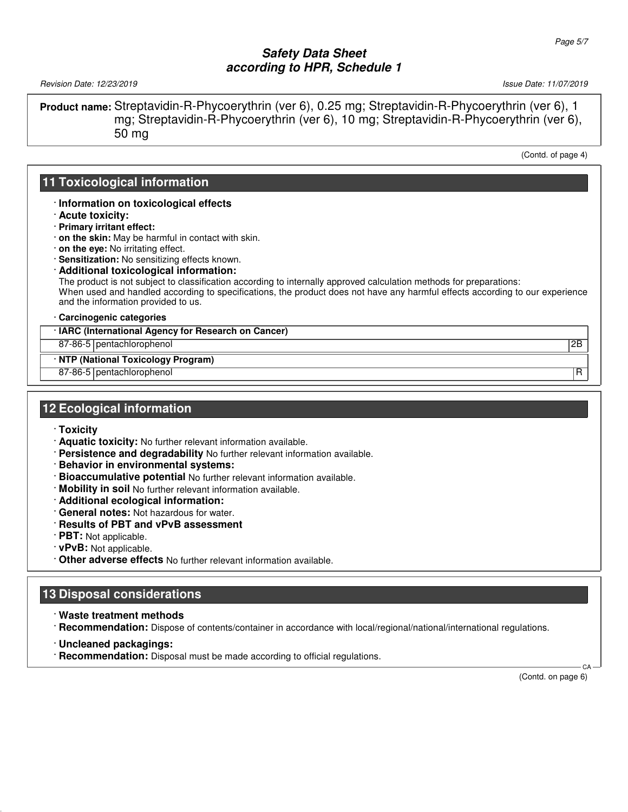Revision Date: 12/23/2019 **Issue Date: 11/07/2019** Issue Date: 11/07/2019

**Product name:** Streptavidin-R-Phycoerythrin (ver 6), 0.25 mg; Streptavidin-R-Phycoerythrin (ver 6), 1 mg; Streptavidin-R-Phycoerythrin (ver 6), 10 mg; Streptavidin-R-Phycoerythrin (ver 6), 50 mg

(Contd. of page 4)

## **11 Toxicological information**

#### · **Information on toxicological effects**

- · **Acute toxicity:**
- · **Primary irritant effect:**
- · **on the skin:** May be harmful in contact with skin.
- · **on the eye:** No irritating effect.
- · **Sensitization:** No sensitizing effects known.

#### · **Additional toxicological information:**

The product is not subject to classification according to internally approved calculation methods for preparations: When used and handled according to specifications, the product does not have any harmful effects according to our experience and the information provided to us.

#### · **Carcinogenic categories**

#### · **IARC (International Agency for Research on Cancer)**

87-86-5 pentachlorophenol 2B

#### · **NTP (National Toxicology Program)**

87-86-5 pentachlorophenol R

## **12 Ecological information**

- · **Toxicity**
- · **Aquatic toxicity:** No further relevant information available.
- · **Persistence and degradability** No further relevant information available.
- · **Behavior in environmental systems:**
- · **Bioaccumulative potential** No further relevant information available.
- · **Mobility in soil** No further relevant information available.
- · **Additional ecological information:**
- · **General notes:** Not hazardous for water.
- · **Results of PBT and vPvB assessment**
- · **PBT:** Not applicable.
- · **vPvB:** Not applicable.
- · **Other adverse effects** No further relevant information available.

## **13 Disposal considerations**

- · **Waste treatment methods**
- · **Recommendation:** Dispose of contents/container in accordance with local/regional/national/international regulations.
- · **Uncleaned packagings:**
- · **Recommendation:** Disposal must be made according to official regulations.

(Contd. on page 6)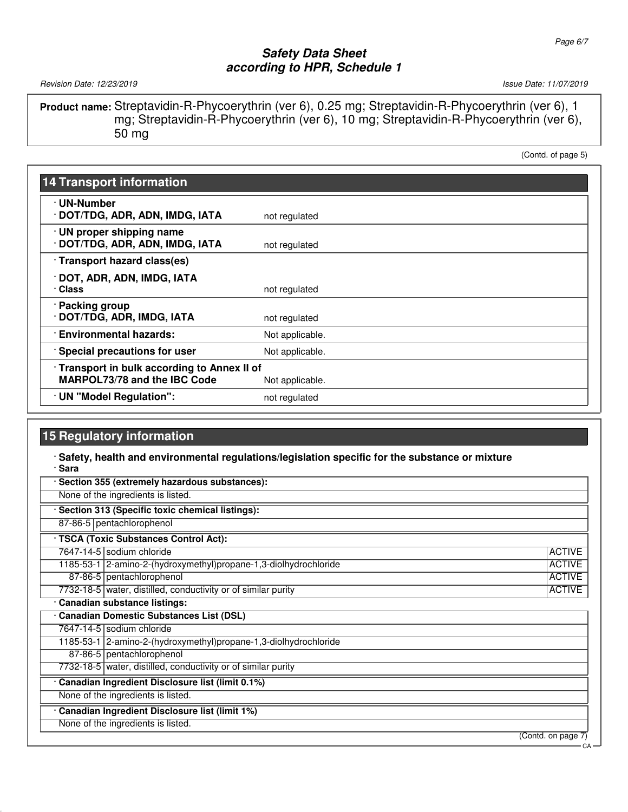Revision Date: 12/23/2019 Issue Date: 11/07/2019

**Product name:** Streptavidin-R-Phycoerythrin (ver 6), 0.25 mg; Streptavidin-R-Phycoerythrin (ver 6), 1 mg; Streptavidin-R-Phycoerythrin (ver 6), 10 mg; Streptavidin-R-Phycoerythrin (ver 6), 50 mg

(Contd. of page 5)

| <b>14 Transport information</b>                              |                 |
|--------------------------------------------------------------|-----------------|
| · UN-Number<br>DOT/TDG, ADR, ADN, IMDG, IATA                 | not regulated   |
|                                                              |                 |
| · UN proper shipping name<br>· DOT/TDG, ADR, ADN, IMDG, IATA | not regulated   |
| · Transport hazard class(es)                                 |                 |
| · DOT, ADR, ADN, IMDG, IATA<br>· Class                       | not regulated   |
| · Packing group<br>· DOT/TDG, ADR, IMDG, IATA                | not regulated   |
| · Environmental hazards:                                     | Not applicable. |
| <b>Special precautions for user</b>                          | Not applicable. |
| Transport in bulk according to Annex II of                   |                 |
| <b>MARPOL73/78 and the IBC Code</b>                          | Not applicable. |
| · UN "Model Regulation":                                     | not regulated   |

## **15 Regulatory information**

#### · **Safety, health and environmental regulations/legislation specific for the substance or mixture** · **Sara**

| Section 355 (extremely hazardous substances): |                                                                   |                    |
|-----------------------------------------------|-------------------------------------------------------------------|--------------------|
|                                               | None of the ingredients is listed.                                |                    |
|                                               | Section 313 (Specific toxic chemical listings):                   |                    |
|                                               | 87-86-5 pentachlorophenol                                         |                    |
|                                               | · TSCA (Toxic Substances Control Act):                            |                    |
|                                               | 7647-14-5 sodium chloride                                         | <b>ACTIVE</b>      |
|                                               | 1185-53-1 2-amino-2-(hydroxymethyl) propane-1,3-diolhydrochloride | <b>ACTIVE</b>      |
|                                               | 87-86-5 pentachlorophenol                                         | <b>ACTIVE</b>      |
|                                               | 7732-18-5 water, distilled, conductivity or of similar purity     | <b>ACTIVE</b>      |
|                                               | · Canadian substance listings:                                    |                    |
|                                               | Canadian Domestic Substances List (DSL)                           |                    |
|                                               | 7647-14-5 sodium chloride                                         |                    |
|                                               | 1185-53-1 2-amino-2-(hydroxymethyl)propane-1,3-diolhydrochloride  |                    |
|                                               | 87-86-5 pentachlorophenol                                         |                    |
|                                               | 7732-18-5 water, distilled, conductivity or of similar purity     |                    |
|                                               | Canadian Ingredient Disclosure list (limit 0.1%)                  |                    |
|                                               | None of the ingredients is listed.                                |                    |
|                                               | Canadian Ingredient Disclosure list (limit 1%)                    |                    |
|                                               | None of the ingredients is listed.                                |                    |
|                                               |                                                                   | (Contd. on page 7) |
|                                               |                                                                   | CA                 |